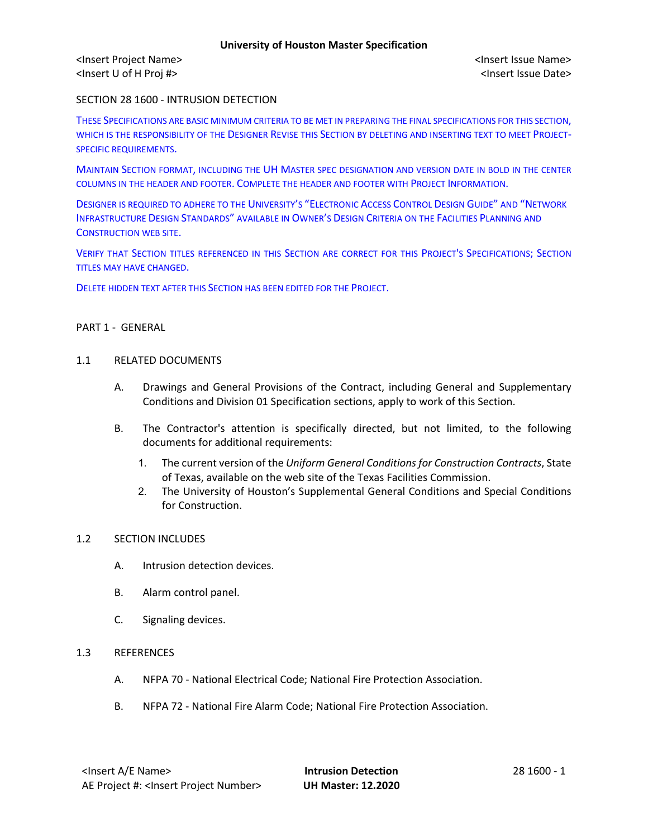<Insert Project Name> <Insert Issue Name> <Insert U of H Proj #> <Insert Issue Date>

SECTION 28 1600 - INTRUSION DETECTION

THESE SPECIFICATIONS ARE BASIC MINIMUM CRITERIA TO BE MET IN PREPARING THE FINAL SPECIFICATIONS FOR THIS SECTION, WHICH IS THE RESPONSIBILITY OF THE DESIGNER REVISE THIS SECTION BY DELETING AND INSERTING TEXT TO MEET PROJECT-SPECIFIC REQUIREMENTS.

MAINTAIN SECTION FORMAT, INCLUDING THE UH MASTER SPEC DESIGNATION AND VERSION DATE IN BOLD IN THE CENTER COLUMNS IN THE HEADER AND FOOTER. COMPLETE THE HEADER AND FOOTER WITH PROJECT INFORMATION.

DESIGNER IS REQUIRED TO ADHERE TO THE UNIVERSITY'S "ELECTRONIC ACCESS CONTROL DESIGN GUIDE" AND "NETWORK INFRASTRUCTURE DESIGN STANDARDS" AVAILABLE IN OWNER'S DESIGN CRITERIA ON THE FACILITIES PLANNING AND CONSTRUCTION WEB SITE.

VERIFY THAT SECTION TITLES REFERENCED IN THIS SECTION ARE CORRECT FOR THIS PROJECT'S SPECIFICATIONS; SECTION TITLES MAY HAVE CHANGED.

DELETE HIDDEN TEXT AFTER THIS SECTION HAS BEEN EDITED FOR THE PROJECT.

## PART 1 - GENERAL

## 1.1 RELATED DOCUMENTS

- A. Drawings and General Provisions of the Contract, including General and Supplementary Conditions and Division 01 Specification sections, apply to work of this Section.
- B. The Contractor's attention is specifically directed, but not limited, to the following documents for additional requirements:
	- 1. The current version of the *Uniform General Conditions for Construction Contracts*, State of Texas, available on the web site of the Texas Facilities Commission.
	- 2. The University of Houston's Supplemental General Conditions and Special Conditions for Construction.

## 1.2 SECTION INCLUDES

- A. Intrusion detection devices.
- B. Alarm control panel.
- C. Signaling devices.

## 1.3 REFERENCES

- A. NFPA 70 National Electrical Code; National Fire Protection Association.
- B. NFPA 72 National Fire Alarm Code; National Fire Protection Association.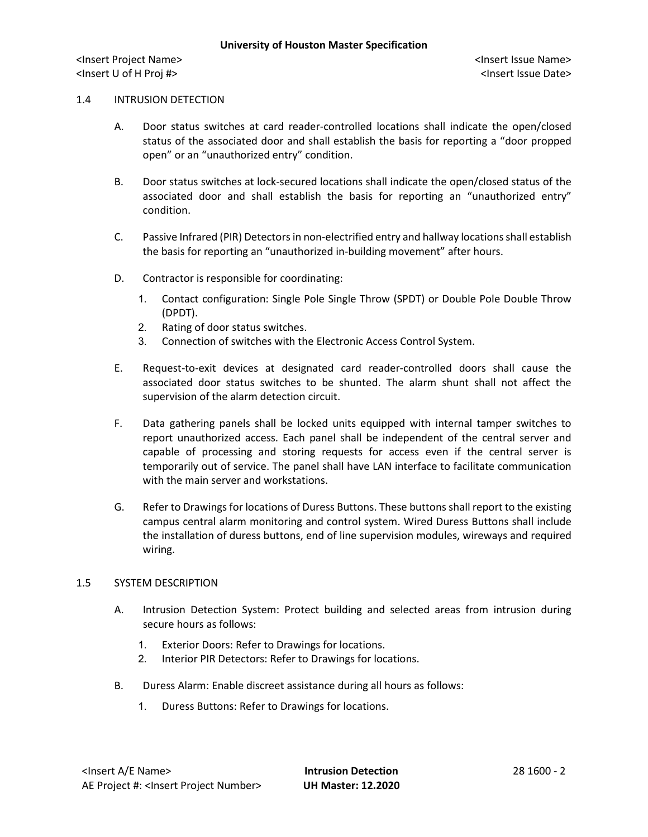#### 1.4 INTRUSION DETECTION

- A. Door status switches at card reader-controlled locations shall indicate the open/closed status of the associated door and shall establish the basis for reporting a "door propped open" or an "unauthorized entry" condition.
- B. Door status switches at lock-secured locations shall indicate the open/closed status of the associated door and shall establish the basis for reporting an "unauthorized entry" condition.
- C. Passive Infrared (PIR) Detectors in non-electrified entry and hallway locations shall establish the basis for reporting an "unauthorized in-building movement" after hours.
- D. Contractor is responsible for coordinating:
	- 1. Contact configuration: Single Pole Single Throw (SPDT) or Double Pole Double Throw (DPDT).
	- 2. Rating of door status switches.
	- 3. Connection of switches with the Electronic Access Control System.
- E. Request-to-exit devices at designated card reader-controlled doors shall cause the associated door status switches to be shunted. The alarm shunt shall not affect the supervision of the alarm detection circuit.
- F. Data gathering panels shall be locked units equipped with internal tamper switches to report unauthorized access. Each panel shall be independent of the central server and capable of processing and storing requests for access even if the central server is temporarily out of service. The panel shall have LAN interface to facilitate communication with the main server and workstations.
- G. Refer to Drawings for locations of Duress Buttons. These buttons shall report to the existing campus central alarm monitoring and control system. Wired Duress Buttons shall include the installation of duress buttons, end of line supervision modules, wireways and required wiring.

## 1.5 SYSTEM DESCRIPTION

- A. Intrusion Detection System: Protect building and selected areas from intrusion during secure hours as follows:
	- 1. Exterior Doors: Refer to Drawings for locations.
	- 2. Interior PIR Detectors: Refer to Drawings for locations.
- B. Duress Alarm: Enable discreet assistance during all hours as follows:
	- 1. Duress Buttons: Refer to Drawings for locations.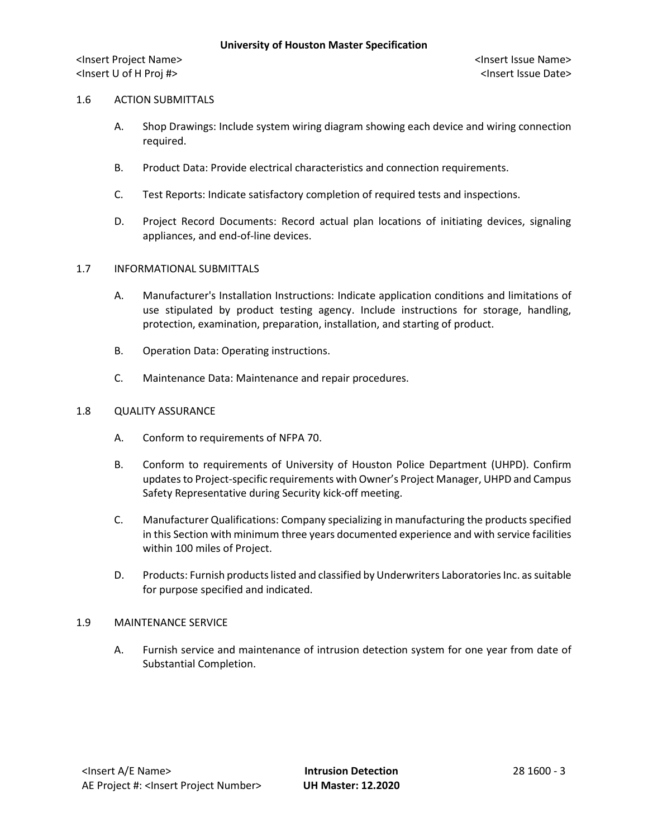## 1.6 ACTION SUBMITTALS

- A. Shop Drawings: Include system wiring diagram showing each device and wiring connection required.
- B. Product Data: Provide electrical characteristics and connection requirements.
- C. Test Reports: Indicate satisfactory completion of required tests and inspections.
- D. Project Record Documents: Record actual plan locations of initiating devices, signaling appliances, and end-of-line devices.

## 1.7 INFORMATIONAL SUBMITTALS

- A. Manufacturer's Installation Instructions: Indicate application conditions and limitations of use stipulated by product testing agency. Include instructions for storage, handling, protection, examination, preparation, installation, and starting of product.
- B. Operation Data: Operating instructions.
- C. Maintenance Data: Maintenance and repair procedures.

## 1.8 QUALITY ASSURANCE

- A. Conform to requirements of NFPA 70.
- B. Conform to requirements of University of Houston Police Department (UHPD). Confirm updates to Project-specific requirements with Owner's Project Manager, UHPD and Campus Safety Representative during Security kick-off meeting.
- C. Manufacturer Qualifications: Company specializing in manufacturing the products specified in this Section with minimum three years documented experience and with service facilities within 100 miles of Project.
- D. Products: Furnish products listed and classified by Underwriters Laboratories Inc. as suitable for purpose specified and indicated.

## 1.9 MAINTENANCE SERVICE

A. Furnish service and maintenance of intrusion detection system for one year from date of Substantial Completion.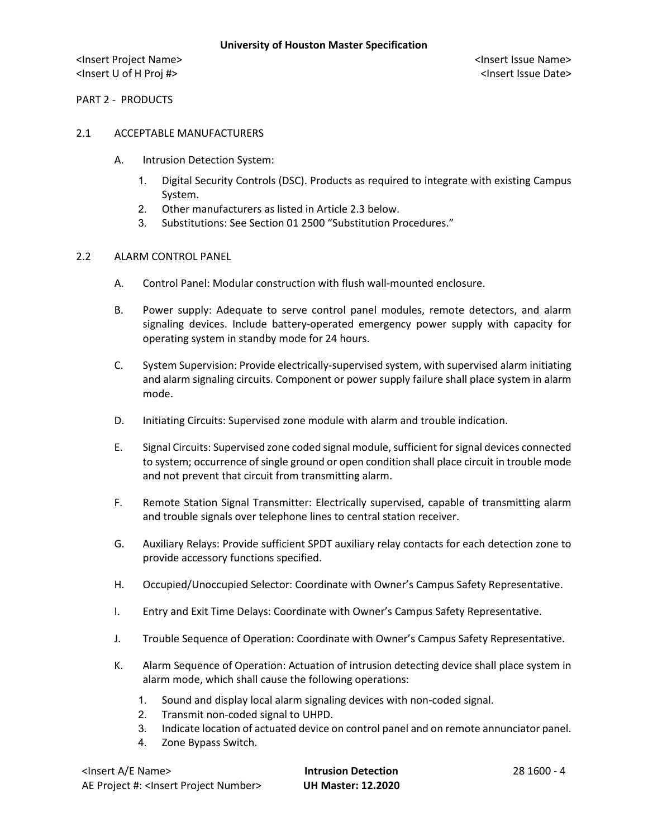PART 2 - PRODUCTS

## 2.1 ACCEPTABLE MANUFACTURERS

- A. Intrusion Detection System:
	- 1. Digital Security Controls (DSC). Products as required to integrate with existing Campus System.
	- 2. Other manufacturers as listed in Article 2.3 below.
	- 3. Substitutions: See Section 01 2500 "Substitution Procedures."

## 2.2 ALARM CONTROL PANEL

- A. Control Panel: Modular construction with flush wall-mounted enclosure.
- B. Power supply: Adequate to serve control panel modules, remote detectors, and alarm signaling devices. Include battery-operated emergency power supply with capacity for operating system in standby mode for 24 hours.
- C. System Supervision: Provide electrically-supervised system, with supervised alarm initiating and alarm signaling circuits. Component or power supply failure shall place system in alarm mode.
- D. Initiating Circuits: Supervised zone module with alarm and trouble indication.
- E. Signal Circuits: Supervised zone coded signal module, sufficient for signal devices connected to system; occurrence of single ground or open condition shall place circuit in trouble mode and not prevent that circuit from transmitting alarm.
- F. Remote Station Signal Transmitter: Electrically supervised, capable of transmitting alarm and trouble signals over telephone lines to central station receiver.
- G. Auxiliary Relays: Provide sufficient SPDT auxiliary relay contacts for each detection zone to provide accessory functions specified.
- H. Occupied/Unoccupied Selector: Coordinate with Owner's Campus Safety Representative.
- I. Entry and Exit Time Delays: Coordinate with Owner's Campus Safety Representative.
- J. Trouble Sequence of Operation: Coordinate with Owner's Campus Safety Representative.
- K. Alarm Sequence of Operation: Actuation of intrusion detecting device shall place system in alarm mode, which shall cause the following operations:
	- 1. Sound and display local alarm signaling devices with non-coded signal.
	- 2. Transmit non-coded signal to UHPD.
	- 3. Indicate location of actuated device on control panel and on remote annunciator panel.
	- 4. Zone Bypass Switch.

| <lnsert a="" e="" name=""></lnsert>                  | <b>Intrusion Detection</b> |
|------------------------------------------------------|----------------------------|
| AE Project #: <lnsert number="" project=""></lnsert> | <b>UH Master: 12.2020</b>  |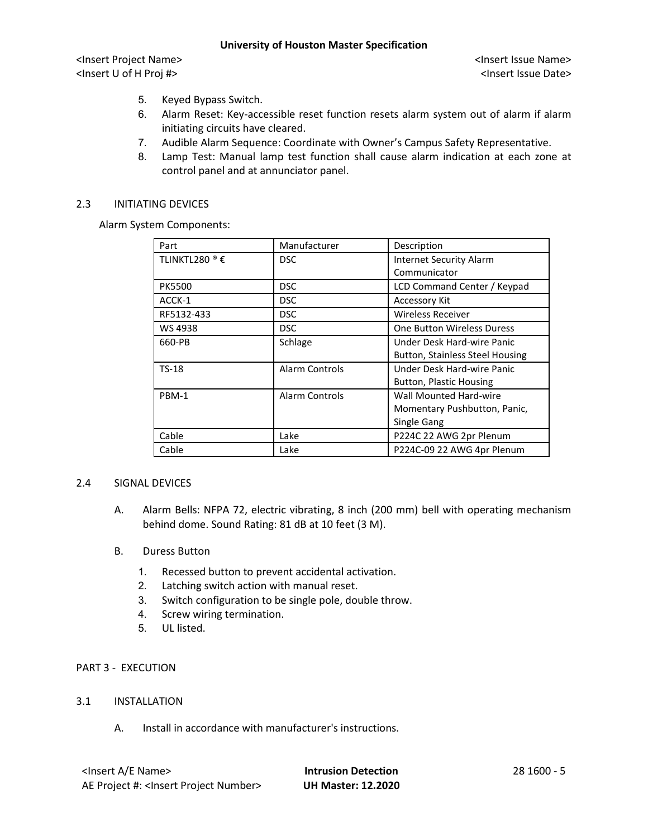<Insert Project Name> <Insert Issue Name> <Insert U of H Proj #> <Insert Issue Date>

- 5. Keyed Bypass Switch.
- 6. Alarm Reset: Key-accessible reset function resets alarm system out of alarm if alarm initiating circuits have cleared.
- 7. Audible Alarm Sequence: Coordinate with Owner's Campus Safety Representative.
- 8. Lamp Test: Manual lamp test function shall cause alarm indication at each zone at control panel and at annunciator panel.

#### 2.3 INITIATING DEVICES

Alarm System Components:

| Part                      | Manufacturer   | Description                            |
|---------------------------|----------------|----------------------------------------|
| TLINKTL280 <sup>®</sup> € | <b>DSC</b>     | <b>Internet Security Alarm</b>         |
|                           |                | Communicator                           |
| <b>PK5500</b>             | DSC.           | LCD Command Center / Keypad            |
| ACCK-1                    | <b>DSC</b>     | <b>Accessory Kit</b>                   |
| RF5132-433                | <b>DSC</b>     | <b>Wireless Receiver</b>               |
| WS 4938                   | <b>DSC</b>     | <b>One Button Wireless Duress</b>      |
| 660-PB                    | Schlage        | Under Desk Hard-wire Panic             |
|                           |                | <b>Button, Stainless Steel Housing</b> |
| $TS-18$                   | Alarm Controls | Under Desk Hard-wire Panic             |
|                           |                | <b>Button, Plastic Housing</b>         |
| PBM-1                     | Alarm Controls | Wall Mounted Hard-wire                 |
|                           |                | Momentary Pushbutton, Panic,           |
|                           |                | Single Gang                            |
| Cable                     | Lake           | P224C 22 AWG 2pr Plenum                |
| Cable                     | Lake           | P224C-09 22 AWG 4pr Plenum             |

#### 2.4 SIGNAL DEVICES

- A. Alarm Bells: NFPA 72, electric vibrating, 8 inch (200 mm) bell with operating mechanism behind dome. Sound Rating: 81 dB at 10 feet (3 M).
- B. Duress Button
	- 1. Recessed button to prevent accidental activation.
	- 2. Latching switch action with manual reset.
	- 3. Switch configuration to be single pole, double throw.
	- 4. Screw wiring termination.
	- 5. UL listed.

# PART 3 - EXECUTION

#### 3.1 INSTALLATION

A. Install in accordance with manufacturer's instructions.